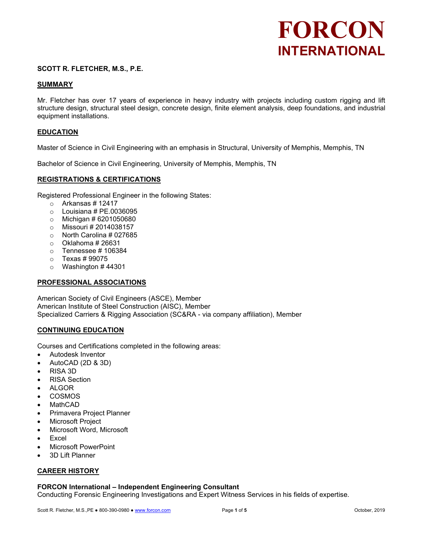## **SCOTT R. FLETCHER, M.S., P.E.**

## **SUMMARY**

Mr. Fletcher has over 17 years of experience in heavy industry with projects including custom rigging and lift structure design, structural steel design, concrete design, finite element analysis, deep foundations, and industrial equipment installations.

### **EDUCATION**

Master of Science in Civil Engineering with an emphasis in Structural, University of Memphis, Memphis, TN

Bachelor of Science in Civil Engineering, University of Memphis, Memphis, TN

## **REGISTRATIONS & CERTIFICATIONS**

Registered Professional Engineer in the following States:

- $\circ$  Arkansas # 12417
- $\circ$  Louisiana # PE.0036095
- $\circ$  Michigan # 6201050680
- o Missouri # 2014038157
- o North Carolina # 027685
- $\circ$  Oklahoma # 26631
- $\circ$  Tennessee #106384
- o Texas # 99075
- $\circ$  Washington #44301

### **PROFESSIONAL ASSOCIATIONS**

American Society of Civil Engineers (ASCE), Member American Institute of Steel Construction (AISC), Member Specialized Carriers & Rigging Association (SC&RA - via company affiliation), Member

### **CONTINUING EDUCATION**

Courses and Certifications completed in the following areas:

- Autodesk Inventor
- AutoCAD (2D & 3D)
- RISA 3D
- RISA Section
- ALGOR
- COSMOS
- MathCAD
- Primavera Project Planner
- Microsoft Project
- Microsoft Word, Microsoft
- **Excel**
- Microsoft PowerPoint
- 3D Lift Planner

### **CAREER HISTORY**

### **FORCON International – Independent Engineering Consultant**

Conducting Forensic Engineering Investigations and Expert Witness Services in his fields of expertise.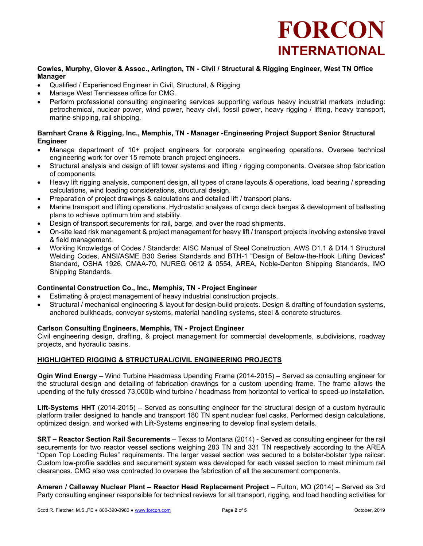

### **Cowles, Murphy, Glover & Assoc., Arlington, TN - Civil / Structural & Rigging Engineer, West TN Office Manager**

- Qualified / Experienced Engineer in Civil, Structural, & Rigging
- Manage West Tennessee office for CMG.
- Perform professional consulting engineering services supporting various heavy industrial markets including: petrochemical, nuclear power, wind power, heavy civil, fossil power, heavy rigging / lifting, heavy transport, marine shipping, rail shipping.

## **Barnhart Crane & Rigging, Inc., Memphis, TN - Manager -Engineering Project Support Senior Structural Engineer**

- Manage department of 10+ project engineers for corporate engineering operations. Oversee technical engineering work for over 15 remote branch project engineers.
- Structural analysis and design of lift tower systems and lifting / rigging components. Oversee shop fabrication of components.
- Heavy lift rigging analysis, component design, all types of crane layouts & operations, load bearing / spreading calculations, wind loading considerations, structural design.
- Preparation of project drawings & calculations and detailed lift / transport plans.
- Marine transport and lifting operations. Hydrostatic analyses of cargo deck barges & development of ballasting plans to achieve optimum trim and stability.
- Design of transport securements for rail, barge, and over the road shipments.
- On-site lead risk management & project management for heavy lift / transport projects involving extensive travel & field management.
- Working Knowledge of Codes / Standards: AISC Manual of Steel Construction, AWS D1.1 & D14.1 Structural Welding Codes, ANSI/ASME B30 Series Standards and BTH-1 "Design of Below-the-Hook Lifting Devices" Standard, OSHA 1926, CMAA-70, NUREG 0612 & 0554, AREA, Noble-Denton Shipping Standards, IMO Shipping Standards.

# **Continental Construction Co., Inc., Memphis, TN - Project Engineer**

- Estimating & project management of heavy industrial construction projects.
- Structural / mechanical engineering & layout for design-build projects. Design & drafting of foundation systems, anchored bulkheads, conveyor systems, material handling systems, steel & concrete structures.

### **Carlson Consulting Engineers, Memphis, TN - Project Engineer**

Civil engineering design, drafting, & project management for commercial developments, subdivisions, roadway projects, and hydraulic basins.

# **HIGHLIGHTED RIGGING & STRUCTURAL/CIVIL ENGINEERING PROJECTS**

**Ogin Wind Energy** – Wind Turbine Headmass Upending Frame (2014-2015) – Served as consulting engineer for the structural design and detailing of fabrication drawings for a custom upending frame. The frame allows the upending of the fully dressed 73,000lb wind turbine / headmass from horizontal to vertical to speed-up installation.

**Lift-Systems HHT** (2014-2015) – Served as consulting engineer for the structural design of a custom hydraulic platform trailer designed to handle and transport 180 TN spent nuclear fuel casks. Performed design calculations, optimized design, and worked with Lift-Systems engineering to develop final system details.

**SRT – Reactor Section Rail Securements** – Texas to Montana (2014) - Served as consulting engineer for the rail securements for two reactor vessel sections weighing 283 TN and 331 TN respectively according to the AREA "Open Top Loading Rules" requirements. The larger vessel section was secured to a bolster-bolster type railcar. Custom low-profile saddles and securement system was developed for each vessel section to meet minimum rail clearances. CMG also was contracted to oversee the fabrication of all the securement components.

**Ameren / Callaway Nuclear Plant – Reactor Head Replacement Project** – Fulton, MO (2014) – Served as 3rd Party consulting engineer responsible for technical reviews for all transport, rigging, and load handling activities for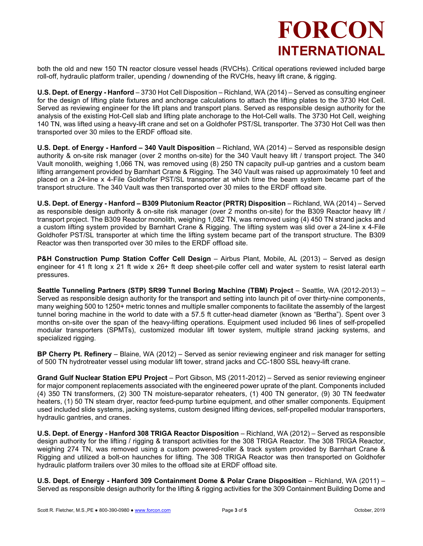both the old and new 150 TN reactor closure vessel heads (RVCHs). Critical operations reviewed included barge roll-off, hydraulic platform trailer, upending / downending of the RVCHs, heavy lift crane, & rigging.

**U.S. Dept. of Energy - Hanford** – 3730 Hot Cell Disposition – Richland, WA (2014) – Served as consulting engineer for the design of lifting plate fixtures and anchorage calculations to attach the lifting plates to the 3730 Hot Cell. Served as reviewing engineer for the lift plans and transport plans. Served as responsible design authority for the analysis of the existing Hot-Cell slab and lifting plate anchorage to the Hot-Cell walls. The 3730 Hot Cell, weighing 140 TN, was lifted using a heavy-lift crane and set on a Goldhofer PST/SL transporter. The 3730 Hot Cell was then transported over 30 miles to the ERDF offload site.

**U.S. Dept. of Energy - Hanford – 340 Vault Disposition** – Richland, WA (2014) – Served as responsible design authority & on-site risk manager (over 2 months on-site) for the 340 Vault heavy lift / transport project. The 340 Vault monolith, weighing 1,066 TN, was removed using (8) 250 TN capacity pull-up gantries and a custom beam lifting arrangement provided by Barnhart Crane & Rigging. The 340 Vault was raised up approximately 10 feet and placed on a 24-line x 4-File Goldhofer PST/SL transporter at which time the beam system became part of the transport structure. The 340 Vault was then transported over 30 miles to the ERDF offload site.

**U.S. Dept. of Energy - Hanford – B309 Plutonium Reactor (PRTR) Disposition** – Richland, WA (2014) – Served as responsible design authority & on-site risk manager (over 2 months on-site) for the B309 Reactor heavy lift / transport project. The B309 Reactor monolith, weighing 1,082 TN, was removed using (4) 450 TN strand jacks and a custom lifting system provided by Barnhart Crane & Rigging. The lifting system was slid over a 24-line x 4-File Goldhofer PST/SL transporter at which time the lifting system became part of the transport structure. The B309 Reactor was then transported over 30 miles to the ERDF offload site.

**P&H Construction Pump Station Coffer Cell Design** – Airbus Plant, Mobile, AL (2013) – Served as design engineer for 41 ft long x 21 ft wide x 26+ ft deep sheet-pile coffer cell and water system to resist lateral earth pressures.

**Seattle Tunneling Partners (STP) SR99 Tunnel Boring Machine (TBM) Project** – Seattle, WA (2012-2013) – Served as responsible design authority for the transport and setting into launch pit of over thirty-nine components, many weighing 500 to 1250+ metric tonnes and multiple smaller components to facilitate the assembly of the largest tunnel boring machine in the world to date with a 57.5 ft cutter-head diameter (known as "Bertha"). Spent over 3 months on-site over the span of the heavy-lifting operations. Equipment used included 96 lines of self-propelled modular transporters (SPMTs), customized modular lift tower system, multiple strand jacking systems, and specialized rigging.

**BP Cherry Pt. Refinery** – Blaine, WA (2012) – Served as senior reviewing engineer and risk manager for setting of 500 TN hydrotreater vessel using modular lift tower, strand jacks and CC-1800 SSL heavy-lift crane.

**Grand Gulf Nuclear Station EPU Project** – Port Gibson, MS (2011-2012) – Served as senior reviewing engineer for major component replacements associated with the engineered power uprate of the plant. Components included (4) 350 TN transformers, (2) 300 TN moisture-separator reheaters, (1) 400 TN generator, (9) 30 TN feedwater heaters, (1) 50 TN steam dryer, reactor feed-pump turbine equipment, and other smaller components. Equipment used included slide systems, jacking systems, custom designed lifting devices, self-propelled modular transporters, hydraulic gantries, and cranes.

**U.S. Dept. of Energy - Hanford 308 TRIGA Reactor Disposition** – Richland, WA (2012) – Served as responsible design authority for the lifting / rigging & transport activities for the 308 TRIGA Reactor. The 308 TRIGA Reactor, weighing 274 TN, was removed using a custom powered-roller & track system provided by Barnhart Crane & Rigging and utilized a bolt-on haunches for lifting. The 308 TRIGA Reactor was then transported on Goldhofer hydraulic platform trailers over 30 miles to the offload site at ERDF offload site.

**U.S. Dept. of Energy - Hanford 309 Containment Dome & Polar Crane Disposition** – Richland, WA (2011) – Served as responsible design authority for the lifting & rigging activities for the 309 Containment Building Dome and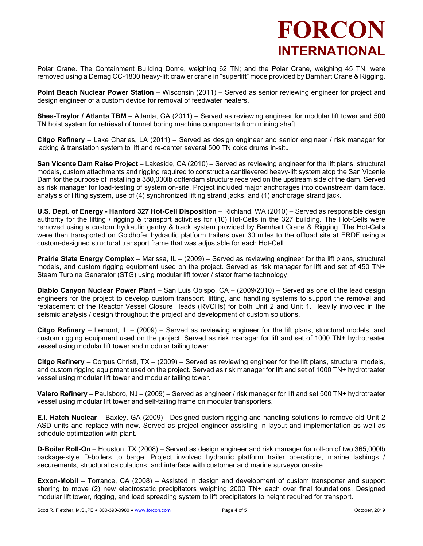Polar Crane. The Containment Building Dome, weighing 62 TN; and the Polar Crane, weighing 45 TN, were removed using a Demag CC-1800 heavy-lift crawler crane in "superlift" mode provided by Barnhart Crane & Rigging.

**Point Beach Nuclear Power Station** – Wisconsin (2011) – Served as senior reviewing engineer for project and design engineer of a custom device for removal of feedwater heaters.

**Shea-Traylor / Atlanta TBM** – Atlanta, GA (2011) – Served as reviewing engineer for modular lift tower and 500 TN hoist system for retrieval of tunnel boring machine components from mining shaft.

**Citgo Refinery** – Lake Charles, LA (2011) – Served as design engineer and senior engineer / risk manager for jacking & translation system to lift and re-center several 500 TN coke drums in-situ.

**San Vicente Dam Raise Project** – Lakeside, CA (2010) – Served as reviewing engineer for the lift plans, structural models, custom attachments and rigging required to construct a cantilevered heavy-lift system atop the San Vicente Dam for the purpose of installing a 380,000lb cofferdam structure received on the upstream side of the dam. Served as risk manager for load-testing of system on-site. Project included major anchorages into downstream dam face, analysis of lifting system, use of (4) synchronized lifting strand jacks, and (1) anchorage strand jack.

**U.S. Dept. of Energy - Hanford 327 Hot-Cell Disposition** – Richland, WA (2010) – Served as responsible design authority for the lifting / rigging & transport activities for (10) Hot-Cells in the 327 building. The Hot-Cells were removed using a custom hydraulic gantry & track system provided by Barnhart Crane & Rigging. The Hot-Cells were then transported on Goldhofer hydraulic platform trailers over 30 miles to the offload site at ERDF using a custom-designed structural transport frame that was adjustable for each Hot-Cell.

**Prairie State Energy Complex** – Marissa, IL – (2009) – Served as reviewing engineer for the lift plans, structural models, and custom rigging equipment used on the project. Served as risk manager for lift and set of 450 TN+ Steam Turbine Generator (STG) using modular lift tower / stator frame technology.

**Diablo Canyon Nuclear Power Plant** – San Luis Obispo, CA – (2009/2010) – Served as one of the lead design engineers for the project to develop custom transport, lifting, and handling systems to support the removal and replacement of the Reactor Vessel Closure Heads (RVCHs) for both Unit 2 and Unit 1. Heavily involved in the seismic analysis / design throughout the project and development of custom solutions.

**Citgo Refinery** – Lemont, IL – (2009) – Served as reviewing engineer for the lift plans, structural models, and custom rigging equipment used on the project. Served as risk manager for lift and set of 1000 TN+ hydrotreater vessel using modular lift tower and modular tailing tower.

**Citgo Refinery** – Corpus Christi, TX – (2009) – Served as reviewing engineer for the lift plans, structural models, and custom rigging equipment used on the project. Served as risk manager for lift and set of 1000 TN+ hydrotreater vessel using modular lift tower and modular tailing tower.

**Valero Refinery** – Paulsboro, NJ – (2009) – Served as engineer / risk manager for lift and set 500 TN+ hydrotreater vessel using modular lift tower and self-tailing frame on modular transporters.

**E.I. Hatch Nuclear** – Baxley, GA (2009) - Designed custom rigging and handling solutions to remove old Unit 2 ASD units and replace with new. Served as project engineer assisting in layout and implementation as well as schedule optimization with plant.

**D-Boiler Roll-On** – Houston, TX (2008) – Served as design engineer and risk manager for roll-on of two 365,000lb package-style D-boilers to barge. Project involved hydraulic platform trailer operations, marine lashings / securements, structural calculations, and interface with customer and marine surveyor on-site.

**Exxon-Mobil** – Torrance, CA (2008) – Assisted in design and development of custom transporter and support shoring to move (2) new electrostatic precipitators weighing 2000 TN+ each over final foundations. Designed modular lift tower, rigging, and load spreading system to lift precipitators to height required for transport.